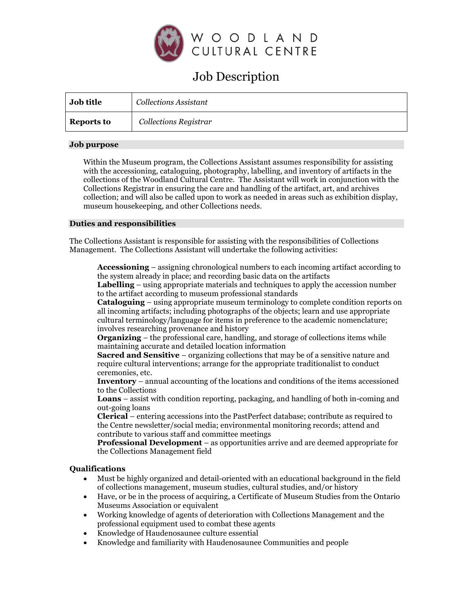

# Job Description

| <b>Job title</b>  | <b>Collections Assistant</b> |
|-------------------|------------------------------|
| <b>Reports to</b> | Collections Registrar        |

### **Job purpose**

Within the Museum program, the Collections Assistant assumes responsibility for assisting with the accessioning, cataloguing, photography, labelling, and inventory of artifacts in the collections of the Woodland Cultural Centre. The Assistant will work in conjunction with the Collections Registrar in ensuring the care and handling of the artifact, art, and archives collection; and will also be called upon to work as needed in areas such as exhibition display, museum housekeeping, and other Collections needs.

### **Duties and responsibilities**

The Collections Assistant is responsible for assisting with the responsibilities of Collections Management. The Collections Assistant will undertake the following activities:

**Accessioning** – assigning chronological numbers to each incoming artifact according to the system already in place; and recording basic data on the artifacts

**Labelling** – using appropriate materials and techniques to apply the accession number to the artifact according to museum professional standards

**Cataloguing** – using appropriate museum terminology to complete condition reports on all incoming artifacts; including photographs of the objects; learn and use appropriate cultural terminology/language for items in preference to the academic nomenclature; involves researching provenance and history

**Organizing** – the professional care, handling, and storage of collections items while maintaining accurate and detailed location information

**Sacred and Sensitive** – organizing collections that may be of a sensitive nature and require cultural interventions; arrange for the appropriate traditionalist to conduct ceremonies, etc.

**Inventory** – annual accounting of the locations and conditions of the items accessioned to the Collections

**Loans** – assist with condition reporting, packaging, and handling of both in-coming and out-going loans

**Clerical** – entering accessions into the PastPerfect database; contribute as required to the Centre newsletter/social media; environmental monitoring records; attend and contribute to various staff and committee meetings

**Professional Development** – as opportunities arrive and are deemed appropriate for the Collections Management field

## **Qualifications**

- Must be highly organized and detail-oriented with an educational background in the field of collections management, museum studies, cultural studies, and/or history
- Have, or be in the process of acquiring, a Certificate of Museum Studies from the Ontario Museums Association or equivalent
- Working knowledge of agents of deterioration with Collections Management and the professional equipment used to combat these agents
- Knowledge of Haudenosaunee culture essential
- Knowledge and familiarity with Haudenosaunee Communities and people